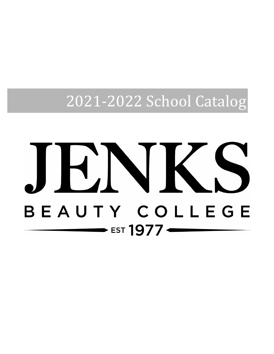2021-2022 School Catalog

# $\blacksquare$  $\vert$  , BEAUTY COLLEGE  $\longrightarrow$  EST 1977 <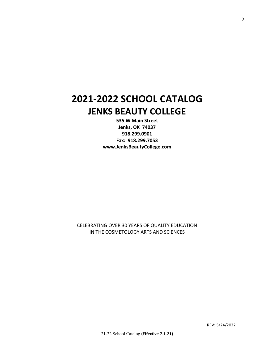## **2021-2022 SCHOOL CATALOG JENKS BEAUTY COLLEGE**

**535 W Main Street Jenks, OK 74037 918.299.0901 Fax: 918.299.7053 www.JenksBeautyCollege.com**

CELEBRATING OVER 30 YEARS OF QUALITY EDUCATION IN THE COSMETOLOGY ARTS AND SCIENCES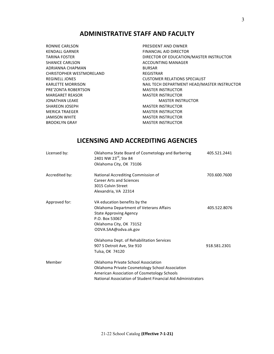## **ADMINISTRATIVE STAFF AND FACULTY**

RONNIE CARLSON **PRESIDENT AND OWNER** KENDALL GARNER FINANCIAL AID DIRECTOR SHANICE CARLSON **ACCOUNTING MANAGER** ADRIANNA CHAPMAN BURSAR CHRISTOPHER WESTMORELAND REGISTRAR PRE'ZONTA ROBERTSON **MASTER INSTRUCTOR** MARGARET REASOR MASTER INSTRUCTOR JONATHAN LEAKE MASTER INSTRUCTOR SHAREON JOSEPH MASTER INSTRUCTOR MERICA TRAEGER **MERICA TRAEGER JAMISON WHITE MASTER INSTRUCTOR** BROOKLYN GRAY **MASTER INSTRUCTOR** 

TARINA FOSTER **EXECUTE TARINA FOSTER** DIRECTOR OF EDUCATION/MASTER INSTRUCTOR REGINELL JONES **CUSTOMER RELATIONS SPECIALIST** KARLETTE MORRISON **NAIL TECH DEPARTMENT HEAD/MASTER INSTRUCTOR** 

## **LICENSING AND ACCREDITING AGENCIES**

| Licensed by:   | Oklahoma State Board of Cosmetology and Barbering<br>2401 NW 23 <sup>rd</sup> , Ste 84<br>Oklahoma City, OK 73106                                                                                     | 405.521.2441 |
|----------------|-------------------------------------------------------------------------------------------------------------------------------------------------------------------------------------------------------|--------------|
| Accredited by: | National Accrediting Commission of<br><b>Career Arts and Sciences</b><br>3015 Colvin Street<br>Alexandria, VA 22314                                                                                   | 703.600.7600 |
| Approved for:  | VA education benefits by the<br>Oklahoma Department of Veterans Affairs<br><b>State Approving Agency</b><br>P.O. Box 53067<br>Oklahoma City, OK 73152<br>ODVA.SAA@odva.ok.gov                         | 405.522.8076 |
|                | Oklahoma Dept. of Rehabilitation Services<br>907 S Detroit Ave, Ste 910<br>Tulsa, OK 74120                                                                                                            | 918.581.2301 |
| Member         | Oklahoma Private School Association<br>Oklahoma Private Cosmetology School Association<br>American Association of Cosmetology Schools<br>National Association of Student Financial Aid Administrators |              |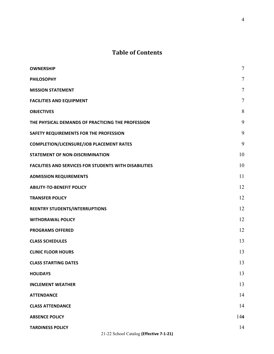## **Table of Contents**

| <b>OWNERSHIP</b>                                              | $\overline{7}$ |
|---------------------------------------------------------------|----------------|
| <b>PHILOSOPHY</b>                                             | $\overline{7}$ |
| <b>MISSION STATEMENT</b>                                      | $\tau$         |
| <b>FACILITIES AND EQUIPMENT</b>                               | $\overline{7}$ |
| <b>OBJECTIVES</b>                                             | 8              |
| THE PHYSICAL DEMANDS OF PRACTICING THE PROFESSION             | 9              |
| SAFETY REQUIREMENTS FOR THE PROFESSION                        | 9              |
| <b>COMPLETION/LICENSURE/JOB PLACEMENT RATES</b>               | 9              |
| <b>STATEMENT OF NON-DISCRIMINATION</b>                        | 10             |
| <b>FACILITIES AND SERVICES FOR STUDENTS WITH DISABILITIES</b> | 10             |
| <b>ADMISSION REQUIREMENTS</b>                                 | 11             |
| <b>ABILITY-TO-BENEFIT POLICY</b>                              | 12             |
| <b>TRANSFER POLICY</b>                                        | 12             |
| REENTRY STUDENTS/INTERRUPTIONS                                | 12             |
| <b>WITHDRAWAL POLICY</b>                                      | 12             |
| <b>PROGRAMS OFFERED</b>                                       | 12             |
| <b>CLASS SCHEDULES</b>                                        | 13             |
| <b>CLINIC FLOOR HOURS</b>                                     | 13             |
| <b>CLASS STARTING DATES</b>                                   | 13             |
| <b>HOLIDAYS</b>                                               | 13             |
| <b>INCLEMENT WEATHER</b>                                      | 13             |
| <b>ATTENDANCE</b>                                             | 14             |
| <b>CLASS ATTENDANCE</b>                                       | 14             |
| <b>ABSENCE POLICY</b>                                         | 144            |
| <b>TARDINESS POLICY</b>                                       | 14             |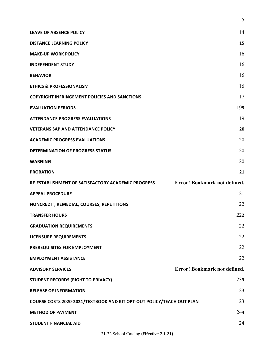|                                                                       | 5                                   |
|-----------------------------------------------------------------------|-------------------------------------|
| <b>LEAVE OF ABSENCE POLICY</b>                                        | 14                                  |
| <b>DISTANCE LEARNING POLICY</b>                                       | 15                                  |
| <b>MAKE-UP WORK POLICY</b>                                            | 16                                  |
| <b>INDEPENDENT STUDY</b>                                              | 16                                  |
| <b>BEHAVIOR</b>                                                       | 16                                  |
| <b>ETHICS &amp; PROFESSIONALISM</b>                                   | 16                                  |
| <b>COPYRIGHT INFRINGEMENT POLICIES AND SANCTIONS</b>                  | 17                                  |
| <b>EVALUATION PERIODS</b>                                             | 199                                 |
| <b>ATTENDANCE PROGRESS EVALUATIONS</b>                                | 19                                  |
| <b>VETERANS SAP AND ATTENDANCE POLICY</b>                             | 20                                  |
| <b>ACADEMIC PROGRESS EVALUATIONS</b>                                  | 20                                  |
| <b>DETERMINATION OF PROGRESS STATUS</b>                               | 20                                  |
| <b>WARNING</b>                                                        | 20                                  |
| <b>PROBATION</b>                                                      | 21                                  |
| RE-ESTABLISHMENT OF SATISFACTORY ACADEMIC PROGRESS                    | Error! Bookmark not defined.        |
| <b>APPEAL PROCEDURE</b>                                               | 21                                  |
| NONCREDIT, REMEDIAL, COURSES, REPETITIONS                             | 22                                  |
| <b>TRANSFER HOURS</b>                                                 | 222                                 |
| <b>GRADUATION REQUIREMENTS</b>                                        | 22                                  |
| LICENSURE REQUIREMENTS                                                | 22                                  |
| PREREQUISITES FOR EMPLOYMENT                                          | 22                                  |
| <b>EMPLOYMENT ASSISTANCE</b>                                          |                                     |
|                                                                       | 22                                  |
| <b>ADVISORY SERVICES</b>                                              | <b>Error! Bookmark not defined.</b> |
| <b>STUDENT RECORDS (RIGHT TO PRIVACY)</b>                             | 23 <sub>3</sub>                     |
| <b>RELEASE OF INFORMATION</b>                                         | 23                                  |
| COURSE COSTS 2020-2021/TEXTBOOK AND KIT OPT-OUT POLICY/TEACH OUT PLAN | 23                                  |
| <b>METHOD OF PAYMENT</b>                                              | 244                                 |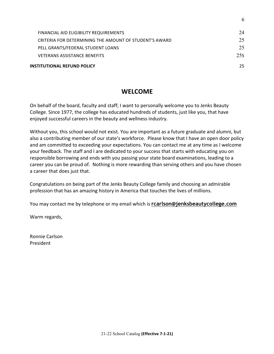| <b>INSTITUTIONAL REFUND POLICY</b>                     | 25. |
|--------------------------------------------------------|-----|
| <b>VETERANS ASSISTANCE BENEFITS</b>                    | 255 |
| PELL GRANTS/FEDERAL STUDENT LOANS                      | 25  |
| CRITERIA FOR DETERMINING THE AMOUNT OF STUDENT'S AWARD | 25  |
| FINANCIAL AID ELIGIBILITY REQUIREMENTS                 | 24  |
|                                                        |     |

6

## **WELCOME**

On behalf of the board, faculty and staff; I want to personally welcome you to Jenks Beauty College. Since 1977, the college has educated hundreds of students, just like you, that have enjoyed successful careers in the beauty and wellness industry.

Without you, this school would not exist. You are important as a future graduate and alumni, but also a contributing member of our state's workforce. Please know that I have an open door policy and am committed to exceeding your expectations. You can contact me at any time as I welcome your feedback. The staff and I are dedicated to your success that starts with educating you on responsible borrowing and ends with you passing your state board examinations, leading to a career you can be proud of. Nothing is more rewarding than serving others and you have chosen a career that does just that.

Congratulations on being part of the Jenks Beauty College family and choosing an admirable profession that has an amazing history in America that touches the lives of millions.

You may contact me by telephone or my email which is **rcarlson@jenksbeautycollege.com** 

Warm regards,

Ronnie Carlson President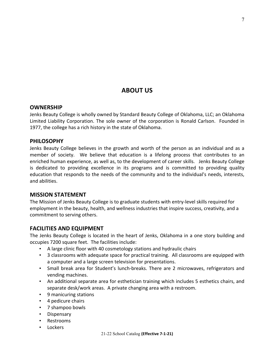## **ABOUT US**

#### **OWNERSHIP**

Jenks Beauty College is wholly owned by Standard Beauty College of Oklahoma, LLC; an Oklahoma Limited Liability Corporation. The sole owner of the corporation is Ronald Carlson. Founded in 1977, the college has a rich history in the state of Oklahoma.

#### **PHILOSOPHY**

Jenks Beauty College believes in the growth and worth of the person as an individual and as a member of society. We believe that education is a lifelong process that contributes to an enriched human experience, as well as, to the development of career skills. Jenks Beauty College is dedicated to providing excellence in its programs and is committed to providing quality education that responds to the needs of the community and to the individual's needs, interests, and abilities.

#### **MISSION STATEMENT**

The Mission of Jenks Beauty College is to graduate students with entry-level skills required for employment in the beauty, health, and wellness industries that inspire success, creativity, and a commitment to serving others.

#### **FACILITIES AND EQUIPMENT**

The Jenks Beauty College is located in the heart of Jenks, Oklahoma in a one story building and occupies 7200 square feet. The facilities include:

- A large clinic floor with 40 cosmetology stations and hydraulic chairs
- 3 classrooms with adequate space for practical training. All classrooms are equipped with a computer and a large screen television for presentations.
- Small break area for Student's lunch-breaks. There are 2 microwaves, refrigerators and vending machines.
- An additional separate area for esthetician training which includes 5 esthetics chairs, and separate desk/work areas. A private changing area with a restroom.
- 9 manicuring stations
- 4 pedicure chairs
- 7 shampoo bowls
- Dispensary
- Restrooms
- **Lockers**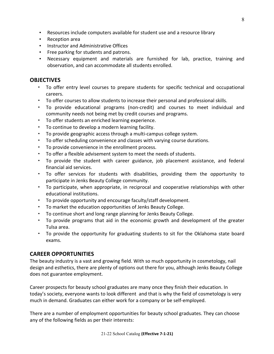- Resources include computers available for student use and a resource library
- Reception area
- Instructor and Administrative Offices
- Free parking for students and patrons.
- Necessary equipment and materials are furnished for lab, practice, training and observation, and can accommodate all students enrolled.

### **OBJECTIVES**

- To offer entry level courses to prepare students for specific technical and occupational careers.
- To offer courses to allow students to increase their personal and professional skills.
- To provide educational programs (non-credit) and courses to meet individual and community needs not being met by credit courses and programs.
- To offer students an enriched learning experience.
- To continue to develop a modern learning facility.
- To provide geographic access through a multi-campus college system.
- To offer scheduling convenience and classes with varying course durations.
- To provide convenience in the enrollment process.
- To offer a flexible advisement system to meet the needs of students.
- To provide the student with career guidance, job placement assistance, and federal financial aid services.
- To offer services for students with disabilities, providing them the opportunity to participate in Jenks Beauty College community.
- To participate, when appropriate, in reciprocal and cooperative relationships with other educational institutions.
- To provide opportunity and encourage faculty/staff development.
- To market the education opportunities of Jenks Beauty College.
- To continue short and long range planning for Jenks Beauty College.
- To provide programs that aid in the economic growth and development of the greater Tulsa area.
- To provide the opportunity for graduating students to sit for the Oklahoma state board exams.

## **CAREER OPPORTUNITIES**

The beauty industry is a vast and growing field. With so much opportunity in cosmetology, nail design and esthetics, there are plenty of options out there for you, although Jenks Beauty College does not guarantee employment.

Career prospects for beauty school graduates are many once they finish their education. In today's society, everyone wants to look different and that is why the field of cosmetology is very much in demand. Graduates can either work for a company or be self-employed.

There are a number of employment opportunities for beauty school graduates. They can choose any of the following fields as per their interests: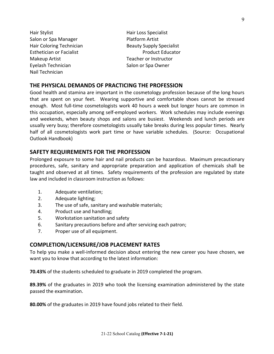- Hair Stylist **Hair Loss** Specialist Salon or Spa Manager Platform Artist Makeup Artist **Teacher** or Instructor Eyelash Technician Salon or Spa Owner Nail Technician
- Hair Coloring Technician **Beauty Supply Specialist** Esthetician or Facialist **Product Educator** Product Educator

#### **THE PHYSICAL DEMANDS OF PRACTICING THE PROFESSION**

Good health and stamina are important in the cosmetology profession because of the long hours that are spent on your feet. Wearing supportive and comfortable shoes cannot be stressed enough. Most full-time cosmetologists work 40 hours a week but longer hours are common in this occupation, especially among self-employed workers. Work schedules may include evenings and weekends, when beauty shops and salons are busiest. Weekends and lunch periods are usually very busy; therefore cosmetologists usually take breaks during less popular times. Nearly half of all cosmetologists work part time or have variable schedules. (Source: Occupational Outlook Handbook)

#### **SAFETY REQUIREMENTS FOR THE PROFESSION**

Prolonged exposure to some hair and nail products can be hazardous. Maximum precautionary procedures, safe, sanitary and appropriate preparation and application of chemicals shall be taught and observed at all times. Safety requirements of the profession are regulated by state law and included in classroom instruction as follows:

- 1. Adequate ventilation;
- 2. Adequate lighting;
- 3. The use of safe, sanitary and washable materials;
- 4. Product use and handling;
- 5. Workstation sanitation and safety
- 6. Sanitary precautions before and after servicing each patron;
- 7. Proper use of all equipment.

#### **COMPLETION/LICENSURE/JOB PLACEMENT RATES**

To help you make a well-informed decision about entering the new career you have chosen, we want you to know that according to the latest information:

**70.43%** of the students scheduled to graduate in 2019 completed the program.

**89.39%** of the graduates in 2019 who took the licensing examination administered by the state passed the examination.

**80.00%** of the graduates in 2019 have found jobs related to their field.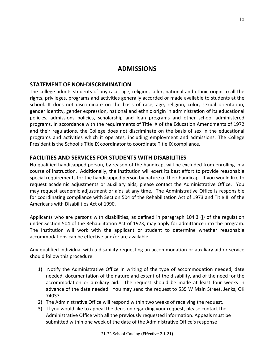## **ADMISSIONS**

#### **STATEMENT OF NON-DISCRIMINATION**

The college admits students of any race, age, religion, color, national and ethnic origin to all the rights, privileges, programs and activities generally accorded or made available to students at the school. It does not discriminate on the basis of race, age, religion, color, sexual orientation, gender identity, gender expression, national and ethnic origin in administration of its educational policies, admissions policies, scholarship and loan programs and other school administered programs. In accordance with the requirements of Title IX of the Education Amendments of 1972 and their regulations, the College does not discriminate on the basis of sex in the educational programs and activities which it operates, including employment and admissions. The College President is the School's Title IX coordinator to coordinate Title IX compliance.

#### **FACILITIES AND SERVICES FOR STUDENTS WITH DISABILITIES**

No qualified handicapped person, by reason of the handicap, will be excluded from enrolling in a course of instruction. Additionally, the Institution will exert its best effort to provide reasonable special requirements for the handicapped person by nature of their handicap. If you would like to request academic adjustments or auxiliary aids, please contact the Administrative Office. You may request academic adjustment or aids at any time. The Administrative Office is responsible for coordinating compliance with Section 504 of the Rehabilitation Act of 1973 and Title III of the Americans with Disabilities Act of 1990.

Applicants who are persons with disabilities, as defined in paragraph 104.3 (j) of the regulation under Section 504 of the Rehabilitation Act of 1973, may apply for admittance into the program. The Institution will work with the applicant or student to determine whether reasonable accommodations can be effective and/or are available.

Any qualified individual with a disability requesting an accommodation or auxiliary aid or service should follow this procedure:

- 1) Notify the Administrative Office in writing of the type of accommodation needed, date needed, documentation of the nature and extent of the disability, and of the need for the accommodation or auxiliary aid. The request should be made at least four weeks in advance of the date needed. You may send the request to 535 W Main Street, Jenks, OK 74037.
- 2) The Administrative Office will respond within two weeks of receiving the request.
- 3) If you would like to appeal the decision regarding your request, please contact the Administrative Office with all the previously requested information. Appeals must be submitted within one week of the date of the Administrative Office's response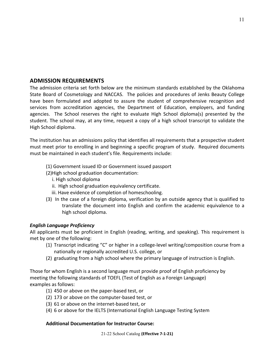#### **ADMISSION REQUIREMENTS**

The admission criteria set forth below are the minimum standards established by the Oklahoma State Board of Cosmetology and NACCAS. The policies and procedures of Jenks Beauty College have been formulated and adopted to assure the student of comprehensive recognition and services from accreditation agencies, the Department of Education, employers, and funding agencies. The School reserves the right to evaluate High School diploma(s) presented by the student. The school may, at any time, request a copy of a high school transcript to validate the High School diploma.

The institution has an admissions policy that identifies all requirements that a prospective student must meet prior to enrolling in and beginning a specific program of study. Required documents must be maintained in each student's file. Requirements include:

- (1) Government issued ID or Government issued passport
- (2) High school graduation documentation:
	- i. High school diploma
	- ii. High school graduation equivalency certificate.
	- iii. Have evidence of completion of homeschooling.
- (3) In the case of a foreign diploma, verification by an outside agency that is qualified to translate the document into English and confirm the academic equivalence to a high school diploma.

#### *English Language Proficiency*

All applicants must be proficient in English (reading, writing, and speaking). This requirement is met by one of the following:

- (1) Transcript indicating "C" or higher in a college-level writing/composition course from a nationally or regionally accredited U.S. college, or
- (2) graduating from a high school where the primary language of instruction is English.

Those for whom English is a second language must provide proof of English proficiency by meeting the following standards of TOEFL (Test of English as a Foreign Language) examples as follows:

- (1) 450 or above on the paper-based test, or
- (2) 173 or above on the computer-based test, or
- (3) 61 or above on the internet-based test, or
- (4) 6 or above for the IELTS (International English Language Testing System

#### **Additional Documentation for Instructor Course:**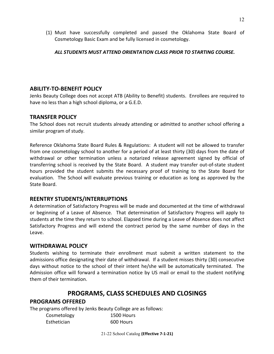(1) Must have successfully completed and passed the Oklahoma State Board of Cosmetology Basic Exam and be fully licensed in cosmetology.

#### *ALL STUDENTS MUST ATTEND ORIENTATION CLASS PRIOR TO STARTING COURSE.*

#### **ABILITY-TO-BENEFIT POLICY**

Jenks Beauty College does not accept ATB (Ability to Benefit) students. Enrollees are required to have no less than a high school diploma, or a G.E.D.

#### **TRANSFER POLICY**

The School does not recruit students already attending or admitted to another school offering a similar program of study.

Reference Oklahoma State Board Rules & Regulations: A student will not be allowed to transfer from one cosmetology school to another for a period of at least thirty (30) days from the date of withdrawal or other termination unless a notarized release agreement signed by official of transferring school is received by the State Board. A student may transfer out-of-state student hours provided the student submits the necessary proof of training to the State Board for evaluation. The School will evaluate previous training or education as long as approved by the State Board.

#### **REENTRY STUDENTS/INTERRUPTIONS**

A determination of Satisfactory Progress will be made and documented at the time of withdrawal or beginning of a Leave of Absence. That determination of Satisfactory Progress will apply to students at the time they return to school. Elapsed time during a Leave of Absence does not affect Satisfactory Progress and will extend the contract period by the same number of days in the Leave.

#### **WITHDRAWAL POLICY**

Students wishing to terminate their enrollment must submit a written statement to the admissions office designating their date of withdrawal. If a student misses thirty (30) consecutive days without notice to the school of their intent he/she will be automatically terminated. The Admission office will forward a termination notice by US mail or email to the student notifying them of their termination.

## **PROGRAMS, CLASS SCHEDULES AND CLOSINGS**

#### **PROGRAMS OFFERED**

The programs offered by Jenks Beauty College are as follows:

| Cosmetology | 1500 Hours |
|-------------|------------|
| Esthetician | 600 Hours  |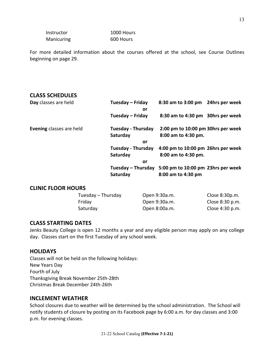Instructor 1000 Hours Manicuring 600 Hours

For more detailed information about the courses offered at the school, see Course Outlines beginning on page 29.

## **CLASS SCHEDULES**

| Day classes are held            | Tuesday – Friday<br>or    | 8:30 am to 3:00 pm 24hrs per week  |  |  |
|---------------------------------|---------------------------|------------------------------------|--|--|
|                                 | Tuesday – Friday          | 8:30 am to 4:30 pm 30hrs per week  |  |  |
| <b>Evening classes are held</b> | <b>Tuesday - Thursday</b> | 2:00 pm to 10:00 pm 30hrs per week |  |  |
|                                 | Saturday                  | 8:00 am to 4:30 pm.                |  |  |
|                                 | or                        |                                    |  |  |
|                                 | <b>Tuesday - Thursday</b> | 4:00 pm to 10:00 pm 26hrs per week |  |  |
|                                 | Saturday                  | 8:00 am to 4:30 pm.                |  |  |
|                                 | or                        |                                    |  |  |
|                                 | Tuesday – Thursday        | 5:00 pm to 10:00 pm 23hrs per week |  |  |
|                                 | Saturday                  | 8:00 am to 4:30 pm                 |  |  |

#### **CLINIC FLOOR HOURS**

| Tuesday – Thursday | Open 9:30a.m. | Close 8:30p.m.  |
|--------------------|---------------|-----------------|
| Friday             | Open 9:30a.m. | Close 8:30 p.m. |
| Saturday           | Open 8:00a.m. | Close 4:30 p.m. |

#### **CLASS STARTING DATES**

Jenks Beauty College is open 12 months a year and any eligible person may apply on any college day. Classes start on the first Tuesday of any school week.

#### **HOLIDAYS**

Classes will not be held on the following holidays: New Years Day Fourth of July Thanksgiving Break November 25th-28th Christmas Break December 24th-26th

## **INCLEMENT WEATHER**

School closures due to weather will be determined by the school administration. The School will notify students of closure by posting on its Facebook page by 6:00 a.m. for day classes and 3:00 p.m. for evening classes.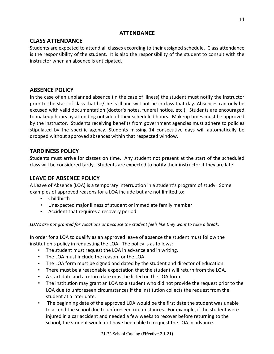#### **ATTENDANCE**

## **CLASS ATTENDANCE**

Students are expected to attend all classes according to their assigned schedule. Class attendance is the responsibility of the student. It is also the responsibility of the student to consult with the instructor when an absence is anticipated.

## **ABSENCE POLICY**

In the case of an unplanned absence (in the case of illness) the student must notify the instructor prior to the start of class that he/she is ill and will not be in class that day. Absences can only be excused with valid documentation (doctor's notes, funeral notice, etc.). Students are encouraged to makeup hours by attending outside of their scheduled hours. Makeup times must be approved by the instructor. Students receiving benefits from government agencies must adhere to policies stipulated by the specific agency. Students missing 14 consecutive days will automatically be dropped without approved absences within that respected window.

## **TARDINESS POLICY**

Students must arrive for classes on time. Any student not present at the start of the scheduled class will be considered tardy. Students are expected to notify their instructor if they are late.

## **LEAVE OF ABSENCE POLICY**

A Leave of Absence (LOA) is a temporary interruption in a student's program of study. Some examples of approved reasons for a LOA include but are not limited to:

- Childbirth
- Unexpected major illness of student or immediate family member
- Accident that requires a recovery period

LOA's are not granted for vacations or because the student feels like they want to take a break.

In order for a LOA to qualify as an approved leave of absence the student must follow the institution's policy in requesting the LOA. The policy is as follows:

- The student must request the LOA in advance and in writing.
- The LOA must include the reason for the LOA.
- The LOA form must be signed and dated by the student and director of education.
- There must be a reasonable expectation that the student will return from the LOA.
- A start date and a return date must be listed on the LOA form.
- The institution may grant an LOA to a student who did not provide the request prior to the LOA due to unforeseen circumstances if the institution collects the request from the student at a later date.
- The beginning date of the approved LOA would be the first date the student was unable to attend the school due to unforeseen circumstances. For example, if the student were injured in a car accident and needed a few weeks to recover before returning to the school, the student would not have been able to request the LOA in advance.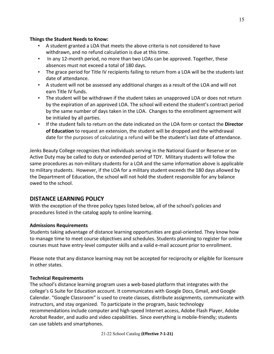#### **Things the Student Needs to Know:**

- A student granted a LOA that meets the above criteria is not considered to have withdrawn, and no refund calculation is due at this time.
- In any 12-month period, no more than two LOAs can be approved. Together, these absences must not exceed a total of 180 days.
- The grace period for Title IV recipients failing to return from a LOA will be the students last date of attendance.
- A student will not be assessed any additional charges as a result of the LOA and will not earn Title IV funds.
- The student will be withdrawn if the student takes an unapproved LOA or does not return by the expiration of an approved LOA. The school will extend the student's contract period by the same number of days taken in the LOA. Changes to the enrollment agreement will be initialed by all parties.
- If the student fails to return on the date indicated on the LOA form or contact the **Director** of **Education** to request an extension, the student will be dropped and the withdrawal date for the purposes of calculating a refund will be the student's last date of attendance.

Jenks Beauty College recognizes that individuals serving in the National Guard or Reserve or on Active Duty may be called to duty or extended period of TDY. Military students will follow the same procedures as non-military students for a LOA and the same information above is applicable to military students. However, if the LOA for a military student exceeds the 180 days allowed by the Department of Education, the school will not hold the student responsible for any balance owed to the school.

## **DISTANCE LEARNING POLICY**

With the exception of the three policy types listed below, all of the school's policies and procedures listed in the catalog apply to online learning.

#### **Admissions Requirements**

Students taking advantage of distance learning opportunities are goal-oriented. They know how to manage time to meet course objectives and schedules. Students planning to register for online courses must have entry-level computer skills and a valid e-mail account prior to enrollment.

Please note that any distance learning may not be accepted for reciprocity or eligible for licensure in other states.

#### **Technical Requirements**

The school's distance learning program uses a web-based platform that integrates with the college's G Suite for Education account. It communicates with Google Docs, Gmail, and Google Calendar. "Google Classroom" is used to create classes, distribute assignments, communicate with instructors, and stay organized. To participate in the program, basic technology recommendations include computer and high-speed Internet access, Adobe Flash Player, Adobe Acrobat Reader, and audio and video capabilities. Since everything is mobile-friendly; students can use tablets and smartphones.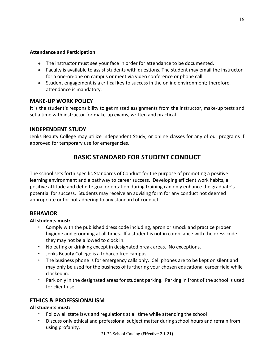#### **Attendance and Participation**

- The instructor must see your face in order for attendance to be documented.
- Faculty is available to assist students with questions. The student may email the instructor for a one-on-one on campus or meet via video conference or phone call.
- Student engagement is a critical key to success in the online environment; therefore, attendance is mandatory.

#### **MAKE-UP WORK POLICY**

It is the student's responsibility to get missed assignments from the instructor, make-up tests and set a time with instructor for make-up exams, written and practical.

#### **INDEPENDENT STUDY**

Jenks Beauty College may utilize Independent Study, or online classes for any of our programs if approved for temporary use for emergencies.

## **BASIC STANDARD FOR STUDENT CONDUCT**

The school sets forth specific Standards of Conduct for the purpose of promoting a positive learning environment and a pathway to career success. Developing efficient work habits, a positive attitude and definite goal orientation during training can only enhance the graduate's potential for success. Students may receive an advising form for any conduct not deemed appropriate or for not adhering to any standard of conduct.

#### **BEHAVIOR**

#### **All students must:**

- Comply with the published dress code including, apron or smock and practice proper hygiene and grooming at all times. If a student is not in compliance with the dress code they may not be allowed to clock in.
- No eating or drinking except in designated break areas. No exceptions.
- Jenks Beauty College is a tobacco free campus.
- The business phone is for emergency calls only. Cell phones are to be kept on silent and may only be used for the business of furthering your chosen educational career field while clocked in.
- Park only in the designated areas for student parking. Parking in front of the school is used for client use.

## **ETHICS & PROFESSIONALISM**

#### **All students must:**

- Follow all state laws and regulations at all time while attending the school
- Discuss only ethical and professional subject matter during school hours and refrain from using profanity.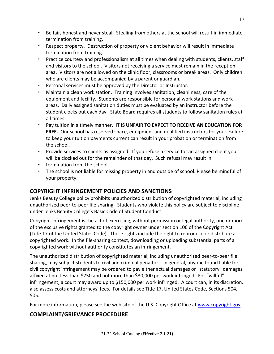- Be fair, honest and never steal. Stealing from others at the school will result in immediate termination from training.
- Respect property. Destruction of property or violent behavior will result in immediate termination from training.
- Practice courtesy and professionalism at all times when dealing with students, clients, staff and visitors to the school. Visitors not receiving a service must remain in the reception area. Visitors are not allowed on the clinic floor, classrooms or break areas. Only children who are clients may be accompanied by a parent or guardian.
- Personal services must be approved by the Director or Instructor.
- Maintain a clean work station. Training involves sanitation, cleanliness, care of the equipment and facility. Students are responsible for personal work stations and work areas. Daily assigned sanitation duties must be evaluated by an instructor before the student clocks out each day. State Board requires all students to follow sanitation rules at all times.
- Pay tuition in a timely manner. IT IS UNFAIR TO EXPECT TO RECEIVE AN EDUCATION FOR **FREE.** Our school has reserved space, equipment and qualified instructors for you. Failure to keep your tuition payments current can result in your probation or termination from the school.
- Provide services to clients as assigned. If you refuse a service for an assigned client you will be clocked out for the remainder of that day. Such refusal may result in
- termination from the school.
- The school is not liable for missing property in and outside of school. Please be mindful of your property.

## **COPYRIGHT INFRINGEMENT POLICIES AND SANCTIONS**

Jenks Beauty College policy prohibits unauthorized distribution of copyrighted material, including unauthorized peer-to-peer file sharing. Students who violate this policy are subject to discipline under Jenks Beauty College's Basic Code of Student Conduct.

Copyright infringement is the act of exercising, without permission or legal authority, one or more of the exclusive rights granted to the copyright owner under section 106 of the Copyright Act (Title 17 of the United States Code). These rights include the right to reproduce or distribute a copyrighted work. In the file-sharing context, downloading or uploading substantial parts of a copyrighted work without authority constitutes an infringement.

The unauthorized distribution of copyrighted material, including unauthorized peer-to-peer file sharing, may subject students to civil and criminal penalties. In general, anyone found liable for civil copyright infringement may be ordered to pay either actual damages or "statutory" damages affixed at not less than \$750 and not more than \$30,000 per work infringed. For "willful" infringement, a court may award up to \$150,000 per work infringed. A court can, in its discretion, also assess costs and attorneys' fees. For details see Title 17, United States Code, Sections 504, 505.

For more information, please see the web site of the U.S. Copyright Office at www.copyright.gov.

## **COMPLAINT/GRIEVANCE PROCEDURE**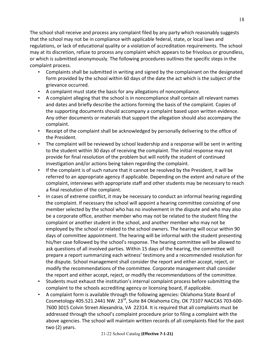The school shall receive and process any complaint filed by any party which reasonably suggests that the school may not be in compliance with applicable federal, state, or local laws and regulations, or lack of educational quality or a violation of accreditation requirements. The school may at its discretion, refuse to process any complaint which appears to be frivolous or groundless, or which is submitted anonymously. The following procedures outlines the specific steps in the complaint process.

- Complaints shall be submitted in writing and signed by the complainant on the designated form provided by the school within 60 days of the date the act which is the subject of the grievance occurred.
- A complaint must state the basis for any allegations of noncompliance.
- A complaint alleging that the school is in noncompliance shall contain all relevant names and dates and briefly describe the actions forming the basis of the complaint. Copies of the supporting documents should accompany a complaint based upon written evidence. Any other documents or materials that support the allegation should also accompany the complaint.
- Receipt of the complaint shall be acknowledged by personally delivering to the office of the President.
- The complaint will be reviewed by school leadership and a response will be sent in writing to the student within 30 days of receiving the complaint. The initial response may not provide for final resolution of the problem but will notify the student of continued investigation and/or actions being taken regarding the complaint.
- If the complaint is of such nature that it cannot be resolved by the President, it will be referred to an appropriate agency if applicable. Depending on the extent and nature of the complaint, interviews with appropriate staff and other students may be necessary to reach a final resolution of the complaint.
- In cases of extreme conflict, it may be necessary to conduct an informal hearing regarding the complaint. If necessary the school will appoint a hearing committee consisting of one member selected by the school who has no involvement in the dispute and who may also be a corporate office, another member who may not be related to the student filing the complaint or another student in the school, and another member who may not be employed by the school or related to the school owners. The hearing will occur within 90 days of committee appointment. The hearing will be informal with the student presenting his/her case followed by the school's response. The hearing committee will be allowed to ask questions of all involved parties. Within 15 days of the hearing, the committee will prepare a report summarizing each witness' testimony and a recommended resolution for the dispute. School management shall consider the report and either accept, reject, or modify the recommendations of the committee. Corporate management shall consider the report and either accept, reject, or modify the recommendations of the committee.
- Students must exhaust the institution's internal complaint process before submitting the complaint to the schools accrediting agency or licensing board, if applicable.
- A complaint form is available through the following agencies: Oklahoma State Board of Cosmetology 405.521.2441 NW. 23<sup>rd</sup>, Suite 84 Oklahoma City, OK 73107 NACCAS 703-600-7600 3015 Colvin Street Alexandria, VA 22314. It is required that all complaints must be addressed through the school's complaint procedure prior to filing a complaint with the above agencies. The school will maintain written records of all complaints filed for the past two (2) years.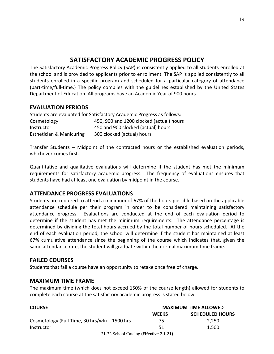## **SATISFACTORY ACADEMIC PROGRESS POLICY**

The Satisfactory Academic Progress Policy (SAP) is consistently applied to all students enrolled at the school and is provided to applicants prior to enrollment. The SAP is applied consistently to all students enrolled in a specific program and scheduled for a particular category of attendance (part-time/full-time.) The policy complies with the guidelines established by the United States Department of Education. All programs have an Academic Year of 900 hours.

#### **EVALUATION PERIODS**

| Students are evaluated for Satisfactory Academic Progress as follows: |                                          |  |  |
|-----------------------------------------------------------------------|------------------------------------------|--|--|
| Cosmetology                                                           | 450, 900 and 1200 clocked (actual) hours |  |  |
| Instructor                                                            | 450 and 900 clocked (actual) hours       |  |  |
| <b>Esthetician &amp; Manicuring</b>                                   | 300 clocked (actual) hours               |  |  |

Transfer Students – Midpoint of the contracted hours or the established evaluation periods, whichever comes first.

Quantitative and qualitative evaluations will determine if the student has met the minimum requirements for satisfactory academic progress. The frequency of evaluations ensures that students have had at least one evaluation by midpoint in the course.

#### **ATTENDANCE PROGRESS EVALUATIONS**

Students are required to attend a minimum of 67% of the hours possible based on the applicable attendance schedule per their program in order to be considered maintaining satisfactory attendance progress. Evaluations are conducted at the end of each evaluation period to determine if the student has met the minimum requirements. The attendance percentage is determined by dividing the total hours accrued by the total number of hours scheduled. At the end of each evaluation period, the school will determine if the student has maintained at least 67% cumulative attendance since the beginning of the course which indicates that, given the same attendance rate, the student will graduate within the normal maximum time frame.

#### **FAILED COURSES**

Students that fail a course have an opportunity to retake once free of charge.

#### **MAXIMUM TIME FRAME**

The maximum time (which does not exceed 150% of the course length) allowed for students to complete each course at the satisfactory academic progress is stated below:

| <b>COURSE</b>                                 | <b>MAXIMUM TIME ALLOWED</b>            |       |  |
|-----------------------------------------------|----------------------------------------|-------|--|
|                                               | <b>SCHEDULED HOURS</b><br><b>WEEKS</b> |       |  |
| Cosmetology (Full Time, 30 hrs/wk) - 1500 hrs | 75                                     | 2.250 |  |
| Instructor                                    | 51                                     | 1,500 |  |
| 21-22 School Catalog (Effective 7-1-21)       |                                        |       |  |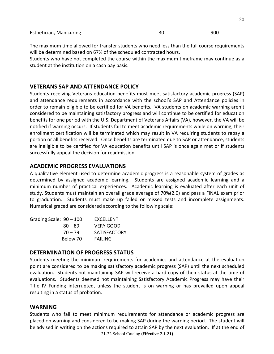The maximum time allowed for transfer students who need less than the full course requirements will be determined based on 67% of the scheduled contracted hours.

Students who have not completed the course within the maximum timeframe may continue as a student at the institution on a cash pay basis.

#### **VETERANS SAP AND ATTENDANCE POLICY**

Students receiving Veterans education benefits must meet satisfactory academic progress (SAP) and attendance requirements in accordance with the school's SAP and Attendance policies in order to remain eligible to be certified for VA benefits. VA students on academic warning aren't considered to be maintaining satisfactory progress and will continue to be certified for education benefits for one period with the U.S. Department of Veterans Affairs (VA), however, the VA will be notified if warning occurs. If students fail to meet academic requirements while on warning, their enrollment certification will be terminated which may result in VA requiring students to repay a portion or all benefits received. Once benefits are terminated due to SAP or attendance, students are ineligible to be certified for VA education benefits until SAP is once again met or if students successfully appeal the decision for readmission.

#### **ACADEMIC PROGRESS EVALUATIONS**

A qualitative element used to determine academic progress is a reasonable system of grades as determined by assigned academic learning. Students are assigned academic learning and a minimum number of practical experiences. Academic learning is evaluated after each unit of study. Students must maintain an overall grade average of 70%(2.0) and pass a FINAL exam prior to graduation. Students must make up failed or missed tests and incomplete assignments. Numerical graced are considered according to the following scale:

| Grading Scale: 90 – 100 |           | <b>FXCFLLFNT</b>    |
|-------------------------|-----------|---------------------|
|                         | $80 - 89$ | VFRY GOOD           |
|                         | $70 - 79$ | <b>SATISFACTORY</b> |
|                         | Below 70  | <b>FAILING</b>      |

#### **DETERMINATION OF PROGRESS STATUS**

Students meeting the minimum requirements for academics and attendance at the evaluation point are considered to be making satisfactory academic progress (SAP) until the next scheduled evaluation. Students not maintaining SAP will receive a hard copy of their status at the time of evaluations. Students deemed not maintaining Satisfactory Academic Progress may have their Title IV Funding interrupted, unless the student is on warning or has prevailed upon appeal resulting in a status of probation.

#### **WARNING**

21-22 School Catalog **(Effective 7-1-21)** Students who fail to meet minimum requirements for attendance or academic progress are placed on warning and considered to be making SAP during the warning period. The student will be advised in writing on the actions required to attain SAP by the next evaluation. If at the end of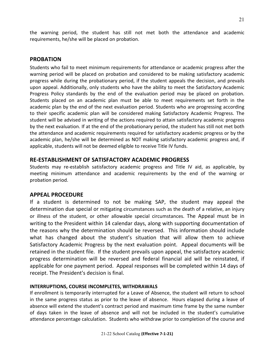the warning period, the student has still not met both the attendance and academic requirements, he/she will be placed on probation.

#### **PROBATION**

Students who fail to meet minimum requirements for attendance or academic progress after the warning period will be placed on probation and considered to be making satisfactory academic progress while during the probationary period, if the student appeals the decision, and prevails upon appeal. Additionally, only students who have the ability to meet the Satisfactory Academic Progress Policy standards by the end of the evaluation period may be placed on probation. Students placed on an academic plan must be able to meet requirements set forth in the academic plan by the end of the next evaluation period. Students who are progressing according to their specific academic plan will be considered making Satisfactory Academic Progress. The student will be advised in writing of the actions required to attain satisfactory academic progress by the next evaluation. If at the end of the probationary period, the student has still not met both the attendance and academic requirements required for satisfactory academic progress or by the academic plan, he/she will be determined as NOT making satisfactory academic progress and, if applicable, students will not be deemed eligible to receive Title IV funds.

#### **RE-ESTABLISHMENT OF SATISFACTORY ACADEMIC PROGRESS**

Students may re-establish satisfactory academic progress and Title IV aid, as applicable, by meeting minimum attendance and academic requirements by the end of the warning or probation period.

#### **APPEAL PROCEDURE**

If a student is determined to not be making SAP, the student may appeal the determination due special or mitigating circumstances such as the death of a relative, an injury or illness of the student, or other allowable special circumstances. The Appeal must be in writing to the President within 14 calendar days, along with supporting documentation of the reasons why the determination should be reversed. This information should include what has changed about the student's situation that will allow them to achieve Satisfactory Academic Progress by the next evaluation point. Appeal documents will be retained in the student file. If the student prevails upon appeal, the satisfactory academic progress determination will be reversed and federal financial aid will be reinstated, if applicable for one payment period. Appeal responses will be completed within 14 days of receipt. The President's decision is final.

#### **INTERRUPTIONS, COURSE INCOMPLETES, WITHDRAWALS**

If enrollment is temporarily interrupted for a Leave of Absence, the student will return to school in the same progress status as prior to the leave of absence. Hours elapsed during a leave of absence will extend the student's contract period and maximum time frame by the same number of days taken in the leave of absence and will not be included in the student's cumulative attendance percentage calculation. Students who withdraw prior to completion of the course and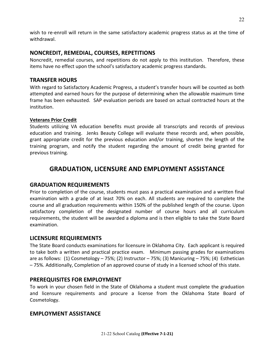wish to re-enroll will return in the same satisfactory academic progress status as at the time of withdrawal.

#### **NONCREDIT, REMEDIAL, COURSES, REPETITIONS**

Noncredit, remedial courses, and repetitions do not apply to this institution. Therefore, these items have no effect upon the school's satisfactory academic progress standards.

#### **TRANSFER HOURS**

With regard to Satisfactory Academic Progress, a student's transfer hours will be counted as both attempted and earned hours for the purpose of determining when the allowable maximum time frame has been exhausted. SAP evaluation periods are based on actual contracted hours at the institution.

#### **Veterans Prior Credit**

Students utilizing VA education benefits must provide all transcripts and records of previous education and training. Jenks Beauty College will evaluate these records and, when possible, grant appropriate credit for the previous education and/or training, shorten the length of the training program, and notify the student regarding the amount of credit being granted for previous training.

## **GRADUATION, LICENSURE AND EMPLOYMENT ASSISTANCE**

## **GRADUATION REQUIREMENTS**

Prior to completion of the course, students must pass a practical examination and a written final examination with a grade of at least 70% on each. All students are required to complete the course and all graduation requirements within 150% of the published length of the course. Upon satisfactory completion of the designated number of course hours and all curriculum requirements, the student will be awarded a diploma and is then eligible to take the State Board examination.

## **LICENSURE REQUIREMENTS**

The State Board conducts examinations for licensure in Oklahoma City. Each applicant is required to take both a written and practical practice exam. Minimum passing grades for examinations are as follows:  $(1)$  Cosmetology – 75%;  $(2)$  Instructor – 75%;  $(3)$  Manicuring – 75%;  $(4)$  Esthetician -75%. Additionally, Completion of an approved course of study in a licensed school of this state.

## **PREREQUISITES FOR EMPLOYMENT**

To work in your chosen field in the State of Oklahoma a student must complete the graduation and licensure requirements and procure a license from the Oklahoma State Board of Cosmetology.

#### **EMPLOYMENT ASSISTANCE**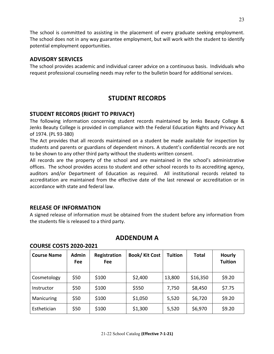The school is committed to assisting in the placement of every graduate seeking employment. The school does not in any way guarantee employment, but will work with the student to identify potential employment opportunities.

#### **ADVISORY SERVICES**

The school provides academic and individual career advice on a continuous basis. Individuals who request professional counseling needs may refer to the bulletin board for additional services.

## **STUDENT RECORDS**

## **STUDENT RECORDS (RIGHT TO PRIVACY)**

The following information concerning student records maintained by Jenks Beauty College & Jenks Beauty College is provided in compliance with the Federal Education Rights and Privacy Act of 1974. (PL 93-380)

The Act provides that all records maintained on a student be made available for inspection by students and parents or guardians of dependent minors. A student's confidential records are not to be shown to any other third party without the students written consent.

All records are the property of the school and are maintained in the school's administrative offices. The school provides access to student and other school records to its accrediting agency, auditors and/or Department of Education as required. All institutional records related to accreditation are maintained from the effective date of the last renewal or accreditation or in accordance with state and federal law.

#### **RELEASE OF INFORMATION**

**COURSE COSTS 2020-2021**

A signed release of information must be obtained from the student before any information from the students file is released to a third party.

| <b>Course Name</b> | <b>Admin</b><br>Fee | Registration<br>Fee | <b>Book/ Kit Cost</b> | Tuition | <b>Total</b> | <b>Hourly</b><br><b>Tuition</b> |
|--------------------|---------------------|---------------------|-----------------------|---------|--------------|---------------------------------|
| Cosmetology        | \$50                | \$100               | \$2,400               | 13,800  | \$16,350     | \$9.20                          |
| Instructor         | \$50                | \$100               | \$550                 | 7,750   | \$8,450      | \$7.75                          |
| Manicuring         | \$50                | \$100               | \$1,050               | 5,520   | \$6,720      | \$9.20                          |
| Esthetician        | \$50                | \$100               | \$1,300               | 5,520   | \$6,970      | \$9.20                          |

## **ADDENDUM A**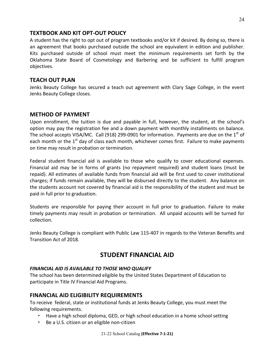#### **TEXTBOOK AND KIT OPT-OUT POLICY**

A student has the right to opt out of program textbooks and/or kit if desired. By doing so, there is an agreement that books purchased outside the school are equivalent in edition and publisher. Kits purchased outside of school must meet the minimum requirements set forth by the Oklahoma State Board of Cosmetology and Barbering and be sufficient to fulfill program objectives. 

#### **TEACH OUT PLAN**

Jenks Beauty College has secured a teach out agreement with Clary Sage College, in the event Jenks Beauty College closes.

#### **METHOD OF PAYMENT**

Upon enrollment, the tuition is due and payable in full, however, the student, at the school's option may pay the registration fee and a down payment with monthly installments on balance. The school accepts VISA/MC. Call (918) 299-0901 for information. Payments are due on the  $1<sup>st</sup>$  of each month or the  $1<sup>st</sup>$  day of class each month, whichever comes first. Failure to make payments on time may result in probation or termination.

Federal student financial aid is available to those who qualify to cover educational expenses. Financial aid may be in forms of grants (no repayment required) and student loans (must be repaid). All estimates of available funds from financial aid will be first used to cover institutional charges; if funds remain available, they will be disbursed directly to the student. Any balance on the students account not covered by financial aid is the responsibility of the student and must be paid in full prior to graduation.

Students are responsible for paying their account in full prior to graduation. Failure to make timely payments may result in probation or termination. All unpaid accounts will be turned for collection.

Jenks Beauty College is compliant with Public Law 115-407 in regards to the Veteran Benefits and Transition Act of 2018.

## **STUDENT FINANCIAL AID**

#### FINANCIAL AID IS AVAILABLE TO THOSE WHO QUALIFY

The school has been determined eligible by the United States Department of Education to participate in Title IV Financial Aid Programs.

#### **FINANCIAL AID ELIGIBILITY REQUIREMENTS**

To receive federal, state or institutional funds at Jenks Beauty College, you must meet the following requirements.

- Have a high school diploma, GED, or high school education in a home school setting
- Be a U.S. citizen or an eligible non-citizen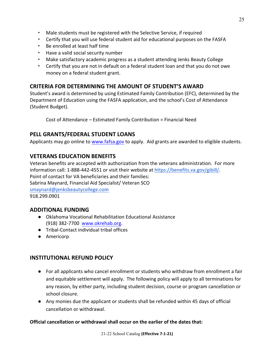- Male students must be registered with the Selective Service, if required
- Certify that you will use federal student aid for educational purposes on the FASFA
- Be enrolled at least half time
- Have a valid social security number
- Make satisfactory academic progress as a student attending Jenks Beauty College
- Certify that you are not in default on a federal student loan and that you do not owe money on a federal student grant.

## **CRITERIA FOR DETERMINING THE AMOUNT OF STUDENT'S AWARD**

Student's award is determined by using Estimated Family Contribution (EFC), determined by the Department of Education using the FASFA application, and the school's Cost of Attendance (Student Budget).

Cost of Attendance – Estimated Family Contribution = Financial Need

## **PELL GRANTS/FEDERAL STUDENT LOANS**

Applicants may go online to www.fafsa.gov to apply. Aid grants are awarded to eligible students.

## **VETERANS EDUCATION BENEFITS**

Veteran benefits are accepted with authorization from the veterans administration. For more information call: 1-888-442-4551 or visit their website at https://benefits.va.gov/gibill/. Point of contact for VA beneficiaries and their families: Sabrina Maynard, Financial Aid Specialist/ Veteran SCO smaynard@jenksbeautycollege.com 918.299.0901

#### **ADDITIONAL FUNDING**

- Oklahoma Vocational Rehabilitation Educational Assistance (918) 382-7700 www.okrehab.org.
- Tribal-Contact individual tribal offices
- Americorp

## **INSTITUTIONAL REFUND POLICY**

- For all applicants who cancel enrollment or students who withdraw from enrollment a fair and equitable settlement will apply. The following policy will apply to all terminations for any reason, by either party, including student decision, course or program cancellation or school closure.
- Any monies due the applicant or students shall be refunded within 45 days of official cancellation or withdrawal.

#### **Official cancellation or withdrawal shall occur on the earlier of the dates that:**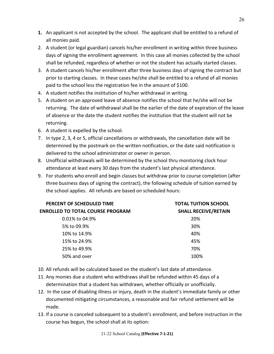- **1.** An applicant is not accepted by the school. The applicant shall be entitled to a refund of all monies paid.
- 2. A student (or legal guardian) cancels his/her enrollment in writing within three business days of signing the enrollment agreement. In this case all monies collected by the school shall be refunded, regardless of whether or not the student has actually started classes.
- 3. A student cancels his/her enrollment after three business days of signing the contract but prior to starting classes. In these cases he/she shall be entitled to a refund of all monies paid to the school less the registration fee in the amount of \$100.
- 4. A student notifies the institution of his/her withdrawal in writing.
- 5. A student on an approved leave of absence notifies the school that he/she will not be returning. The date of withdrawal shall be the earlier of the date of expiration of the leave of absence or the date the student notifies the institution that the student will not be returning.
- 6. A student is expelled by the school.
- 7. In type 2, 3, 4 or 5, official cancellations or withdrawals, the cancellation date will be determined by the postmark on the written notification, or the date said notification is delivered to the school administrator or owner in person.
- 8. Unofficial withdrawals will be determined by the school thru monitoring clock hour attendance at least every 30 days from the student's last physical attendance.
- 9. For students who enroll and begin classes but withdraw prior to course completion (after three business days of signing the contract), the following schedule of tuition earned by the school applies. All refunds are based on scheduled hours:

| PERCENT OF SCHEDULED TIME               | <b>TOTAL TUITION SCHOOL</b> |  |  |
|-----------------------------------------|-----------------------------|--|--|
| <b>ENROLLED TO TOTAL COURSE PROGRAM</b> | <b>SHALL RECEIVE/RETAIN</b> |  |  |
| $0.01\%$ to 04.9%                       | 20%                         |  |  |
| 5% to 09.9%                             | 30%                         |  |  |
| 10% to 14.9%                            | 40%                         |  |  |
| 15% to 24.9%                            | 45%                         |  |  |
| 25% to 49.9%                            | 70%                         |  |  |
| 50% and over                            | 100%                        |  |  |

- 10. All refunds will be calculated based on the student's last date of attendance.
- 11. Any monies due a student who withdraws shall be refunded within 45 days of a determination that a student has withdrawn, whether officially or unofficially.
- 12. In the case of disabling illness or injury, death in the student's immediate family or other documented mitigating circumstances, a reasonable and fair refund settlement will be made.
- 13. If a course is canceled subsequent to a student's enrollment, and before instruction in the course has begun, the school shall at its option: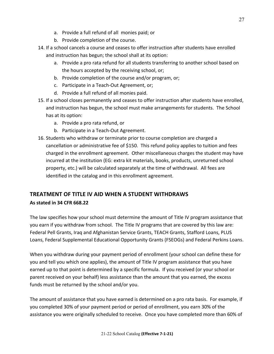- a. Provide a full refund of all monies paid; or
- b. Provide completion of the course.
- 14. If a school cancels a course and ceases to offer instruction after students have enrolled and instruction has begun; the school shall at its option:
	- a. Provide a pro rata refund for all students transferring to another school based on the hours accepted by the receiving school, or;
	- b. Provide completion of the course and/or program, or;
	- c. Participate in a Teach-Out Agreement, or;
	- d. Provide a full refund of all monies paid.
- 15. If a school closes permanently and ceases to offer instruction after students have enrolled, and instruction has begun, the school must make arrangements for students. The School has at its option:
	- a. Provide a pro rata refund, or
	- b. Participate in a Teach-Out Agreement.
- 16. Students who withdraw or terminate prior to course completion are charged a cancellation or administrative fee of \$150. This refund policy applies to tuition and fees charged in the enrollment agreement. Other miscellaneous charges the student may have incurred at the institution (EG: extra kit materials, books, products, unreturned school property, etc.) will be calculated separately at the time of withdrawal. All fees are identified in the catalog and in this enrollment agreement.

## **TREATMENT OF TITLE IV AID WHEN A STUDENT WITHDRAWS**

#### **As stated in 34 CFR 668.22**

The law specifies how your school must determine the amount of Title IV program assistance that you earn if you withdraw from school. The Title IV programs that are covered by this law are: Federal Pell Grants, Iraq and Afghanistan Service Grants, TEACH Grants, Stafford Loans, PLUS Loans, Federal Supplemental Educational Opportunity Grants (FSEOGs) and Federal Perkins Loans.

When you withdraw during your payment period of enrollment (your school can define these for you and tell you which one applies), the amount of Title IV program assistance that you have earned up to that point is determined by a specific formula. If you received (or your school or parent received on your behalf) less assistance than the amount that you earned, the excess funds must be returned by the school and/or you.

The amount of assistance that you have earned is determined on a pro rata basis. For example, if you completed 30% of your payment period or period of enrollment, you earn 30% of the assistance you were originally scheduled to receive. Once you have completed more than 60% of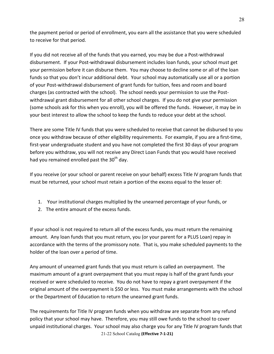the payment period or period of enrollment, you earn all the assistance that you were scheduled to receive for that period.

If you did not receive all of the funds that you earned, you may be due a Post-withdrawal disbursement. If your Post-withdrawal disbursement includes loan funds, your school must get your permission before it can disburse them. You may choose to decline some or all of the loan funds so that you don't incur additional debt. Your school may automatically use all or a portion of your Post-withdrawal disbursement of grant funds for tuition, fees and room and board charges (as contracted with the school). The school needs your permission to use the Postwithdrawal grant disbursement for all other school charges. If you do not give your permission (some schools ask for this when you enroll), you will be offered the funds. However, it may be in your best interest to allow the school to keep the funds to reduce your debt at the school.

There are some Title IV funds that you were scheduled to receive that cannot be disbursed to you once you withdraw because of other eligibility requirements. For example, if you are a first-time, first-year undergraduate student and you have not completed the first 30 days of your program before you withdraw, you will not receive any Direct Loan Funds that you would have received had you remained enrolled past the  $30<sup>th</sup>$  day.

If you receive (or your school or parent receive on your behalf) excess Title IV program funds that must be returned, your school must retain a portion of the excess equal to the lesser of:

- 1. Your institutional charges multiplied by the unearned percentage of your funds, or
- 2. The entire amount of the excess funds.

If your school is not required to return all of the excess funds, you must return the remaining amount. Any loan funds that you must return, you (or your parent for a PLUS Loan) repay in accordance with the terms of the promissory note. That is, you make scheduled payments to the holder of the loan over a period of time.

Any amount of unearned grant funds that you must return is called an overpayment. The maximum amount of a grant overpayment that you must repay is half of the grant funds your received or were scheduled to receive. You do not have to repay a grant overpayment if the original amount of the overpayment is \$50 or less. You must make arrangements with the school or the Department of Education to return the unearned grant funds.

21-22 School Catalog **(Effective 7-1-21)** The requirements for Title IV program funds when you withdraw are separate from any refund policy that your school may have. Therefore, you may still owe funds to the school to cover unpaid institutional charges. Your school may also charge you for any Title IV program funds that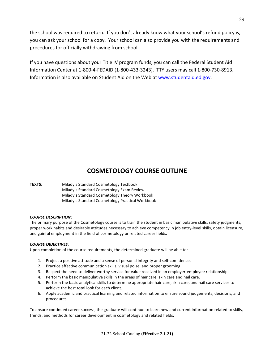the school was required to return. If you don't already know what your school's refund policy is, you can ask your school for a copy. Your school can also provide you with the requirements and procedures for officially withdrawing from school.

If you have questions about your Title IV program funds, you can call the Federal Student Aid Information Center at 1-800-4-FEDAID (1-800-433-3243). TTY users may call 1-800-730-8913. Information is also available on Student Aid on the Web at www.studentaid.ed.gov.

## **COSMETOLOGY COURSE OUTLINE**

**TEXTS:** Milady's Standard Cosmetology Textbook Milady's Standard Cosmetology Exam Review Milady's Standard Cosmetology Theory Workbook Milady's Standard Cosmetology Practical Workbook

#### *COURSE DESCRIPTION*:

The primary purpose of the Cosmetology course is to train the student in basic manipulative skills, safety judgments, proper work habits and desirable attitudes necessary to achieve competency in job entry-level skills, obtain licensure, and gainful employment in the field of cosmetology or related career fields.

#### *COURSE OBJECTIVES*:

Upon completion of the course requirements, the determined graduate will be able to:

- 1. Project a positive attitude and a sense of personal integrity and self-confidence.
- 2. Practice effective communication skills, visual poise, and proper grooming.
- 3. Respect the need to deliver worthy service for value received in an employer-employee relationship.
- 4. Perform the basic manipulative skills in the areas of hair care, skin care and nail care.
- 5. Perform the basic analytical skills to determine appropriate hair care, skin care, and nail care services to achieve the best total look for each client.
- 6. Apply academic and practical learning and related information to ensure sound judgements, decisions, and procedures.

To ensure continued career success, the graduate will continue to learn new and current information related to skills, trends, and methods for career development in cosmetology and related fields.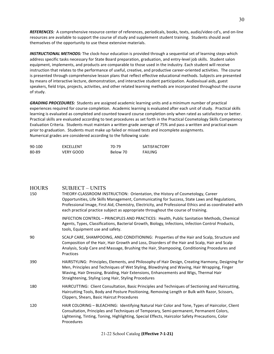*REFERENCES:* A comprehensive resource center of references, periodicals, books, texts, audio/video cd's, and on-line resources are available to support the course of study and supplement student training. Students should avail themselves of the opportunity to use these extensive materials.

*INSTRUCTIONAL METHODS:* The clock-hour education is provided through a sequential set of learning steps which address specific tasks necessary for State Board preparation, graduation, and entry-level job skills. Student salon equipment, implements, and products are comparable to those used in the industry. Each student will receive instruction that relates to the performance of useful, creative, and productive career-oriented activities. The course is presented through comprehensive lesson plans that reflect effective educational methods. Subjects are presented by means of interactive lecture, demonstration, and interactive student participation. Audiovisual aids, guest speakers, field trips, projects, activities, and other related learning methods are incorporated throughout the course of study.

**GRADING PROCEDURES:** Students are assigned academic learning units and a minimum number of practical experiences required for course completion. Academic learning is evaluated after each unit of study. Practical skills learning is evaluated as completed and counted toward course completion only when rated as satisfactory or better. Practical skills are evaluated according to text procedures as set forth in the Practical Cosmetology Skills Competency Evaluation Criteria. Students must maintain a written grade average of 75% and pass a written and practical exam prior to graduation. Students must make up failed or missed tests and incomplete assignments. Numerical grades are considered according to the following scale:

| 90-100 | EXCELLENT | 70-79    | <b>SATISFACTORY</b> |
|--------|-----------|----------|---------------------|
| 80-89  | VERY GOOD | Below 70 | FAILING             |

#### HOURS SUBJECT – UNITS

| 150 | THEORY-CLASSROOM INSTRUCTION: Orientation, the History of Cosmetology, Career<br>Opportunities, Life Skills Management, Communicating for Success, State Laws and Regulations,<br>Professional Image, First Aid, Chemistry, Electricity, and Professional Ethics and as coordinated with<br>each practical practice subject as appropriate throughout the course of training. |
|-----|-------------------------------------------------------------------------------------------------------------------------------------------------------------------------------------------------------------------------------------------------------------------------------------------------------------------------------------------------------------------------------|
|     | INFECTION CONTROL - PRINCIPLES AND PRACTICES: Health, Public Sanitation Methods, Chemical<br>Agents, Types, Classifications, Bacterial Growth, Biology, Infections, Infection Control Products,<br>tools, Equipment use and safety.                                                                                                                                           |
| 90  | SCALP CARE, SHAMPOOING, AND CONDITIONING: Properties of the Hair and Scalp, Structure and<br>Composition of the Hair, Hair Growth and Loss, Disorders of the Hair and Scalp, Hair and Scalp<br>Analysis, Scalp Care and Massage, Brushing the Hair, Shampooing, Conditioning Procedures and<br>Practices                                                                      |
| 390 | HAIRSTYLING: Principles, Elements, and Philosophy of Hair Design, Creating Harmony, Designing for<br>Men, Principles and Techniques of Wet Styling, Blowdrying and Waving, Hair Wrapping, Finger<br>Waving, Hair Dressing, Braiding, Hair Extensions, Enhancements and Wigs, Thermal Hair<br>Straightening, Styling Long Hair, Styling Procedures                             |
| 180 | HAIRCUTTING: Client Consultation, Basic Principles and Techniques of Sectioning and Haircutting,<br>Haircutting Tools, Body and Posture Positioning, Removing Length or Bulk with Razor, Scissors,<br>Clippers, Shears, Basic Haircut Procedures                                                                                                                              |
| 120 | HAIR COLORING - BLEACHING: Identifying Natural Hair Color and Tone, Types of Haircolor, Client<br>Consultation, Principles and Techniques of Temporary, Semi-permanent, Permanent Colors,<br>Lightening, Tinting, Toning, Highlighting, Special Effects, Haircolor Safety Precautions, Color<br>Procedures                                                                    |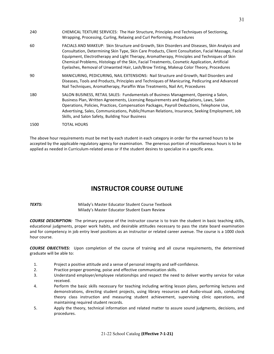| 240  | CHEMICAL TEXTURE SERVICES: The Hair Structure, Principles and Techniques of Sectioning,<br>Wrapping, Processing, Curling, Relaxing and Curl Performing, Procedures                                                                                                                                                                                                                                                                                                                                |
|------|---------------------------------------------------------------------------------------------------------------------------------------------------------------------------------------------------------------------------------------------------------------------------------------------------------------------------------------------------------------------------------------------------------------------------------------------------------------------------------------------------|
| 60   | FACIALS AND MAKEUP: Skin Structure and Growth, Skin Disorders and Diseases, Skin Analysis and<br>Consultation, Determining Skin Type, Skin Care Products, Client Consultation, Facial Massage, Facial<br>Equipment, Electrotherapy and Light Therapy, Aromatherapy, Principles and Techniques of Skin<br>Chemical Problems, Histology of the Skin, Facial Treatments, Cosmetic Application, Artificial<br>Eyelashes, Removal of Unwanted Hair, Lash/Brow Tinting, Makeup Color Theory, Procedures |
| 90   | MANICURING, PEDICURING, NAIL EXTENSIONS: Nail Structure and Growth, Nail Disorders and<br>Diseases, Tools and Products, Principles and Techniques of Manicuring, Pedicuring and Advanced<br>Nail Techniques, Aromatherapy, Paraffin Wax Treatments, Nail Art, Procedures                                                                                                                                                                                                                          |
| 180  | SALON BUSINESS, RETAIL SALES: Fundamentals of Business Management, Opening a Salon,<br>Business Plan, Written Agreements, Licensing Requirements and Regulations, Laws, Salon<br>Operations, Policies, Practices, Compensation Packages, Payroll Deductions, Telephone Use,<br>Advertising, Sales, Communications, Public/Human Relations, Insurance, Seeking Employment, Job<br>Skills, and Salon Safety, Building Your Business                                                                 |
| 1500 | <b>TOTAL HOURS</b>                                                                                                                                                                                                                                                                                                                                                                                                                                                                                |

The above hour requirements must be met by each student in each category in order for the earned hours to be accepted by the applicable regulatory agency for examination. The generous portion of miscellaneous hours is to be applied as needed in Curriculum-related areas or if the student desires to specialize in a specific area.

## **INSTRUCTOR COURSE OUTLINE**

**TEXTS:** Milady's Master Educator Student Course Textbook Milady's Master Educator Student Exam Review

**COURSE DESCRIPTION:** The primary purpose of the instructor course is to train the student in basic teaching skills, educational judgments, proper work habits, and desirable attitudes necessary to pass the state board examination and for competency in job entry level positions as an instructor or related career avenue. The course is a 1000 clock hour course.

**COURSE OBJECTIVES:** Upon completion of the course of training and all course requirements, the determined graduate will be able to:

- 1. Project a positive attitude and a sense of personal integrity and self-confidence.
- 2. Practice proper grooming, poise and effective communication skills.
- 3. Understand employer/employee relationships and respect the need to deliver worthy service for value received.
- 4. Perform the basic skills necessary for teaching including writing lesson plans, performing lectures and demonstrations, directing student projects, using library resources and Audio-visual aids, conducting theory class instruction and measuring student achievement, supervising clinic operations, and maintaining required student records.
- 5. Apply the theory, technical information and related matter to assure sound judgments, decisions, and procedures.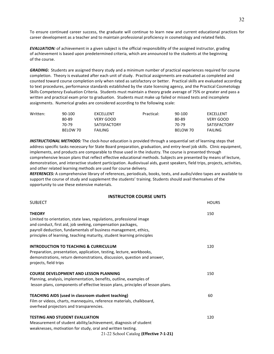To ensure continued career success, the graduate will continue to learn new and current educational practices for career development as a teacher and to maintain professional proficiency in cosmetology and related fields.

*EVALUATION:* of achievement in a given subject is the official responsibility of the assigned instructor, grading of achievement is based upon predetermined criteria, which are announced to the students at the beginning of the course.

**GRADING**: Students are assigned theory study and a minimum number of practical experiences required for course completion. Theory is evaluated after each unit of study. Practical assignments are evaluated as completed and counted toward course completion only when rated as satisfactory or better. Practical skills are evaluated according to text procedures, performance standards established by the state licensing agency, and the Practical Cosmetology Skills Competency Evaluation Criteria. Students must maintain a theory grade average of 75% or greater and pass a written and practical exam prior to graduation. Students must make up failed or missed tests and incomplete assignments. Numerical grades are considered according to the following scale:

| Written: | 90-100   | EXCELLENT           | Practical: | 90-100   | <b>FXCELLENT</b>    |
|----------|----------|---------------------|------------|----------|---------------------|
|          | 80-89    | VERY GOOD           |            | 80-89    | VERY GOOD           |
|          | 70-79    | <b>SATISFACTORY</b> |            | 70-79    | <b>SATISFACTORY</b> |
|          | BELOW 70 | <b>FAILING</b>      |            | BELOW 70 | <b>FAILING</b>      |

**INSTRUCTIONAL METHODS:** The clock-hour education is provided through a sequential set of learning steps that address specific tasks necessary for State Board preparation, graduation, and entry-level job skills. Clinic equipment, implements, and products are comparable to those used in the industry. The course is presented through comprehensive lesson plans that reflect effective educational methods. Subjects are presented by means of lecture, demonstration, and interactive student participation. Audiovisual aids, guest speakers, field trips, projects, activities, and other related learning methods are used for course delivery.

REFERENCES: A comprehensive library of references, periodicals, books, texts, and audio/video tapes are available to support the course of study and supplement the students' training. Students should avail themselves of the opportunity to use these extensive materials.

#### **INSTRUCTOR COURSE UNITS**

| <b>SUBJECT</b>                                                                                                                                                                                                                                                                                   | <b>HOURS</b> |
|--------------------------------------------------------------------------------------------------------------------------------------------------------------------------------------------------------------------------------------------------------------------------------------------------|--------------|
| <b>THEORY</b><br>Limited to orientation, state laws, regulations, professional image<br>and conduct, first aid, job seeking, compensation packages,<br>payroll deduction, fundamentals of business management, ethics,<br>principles of learning, teaching maturity, student learning principles | 150          |
| <b>INTRODUCTION TO TEACHING &amp; CURRICULUM</b><br>Preparation, presentation, application, testing, lecture, workbooks,<br>demonstrations, return demonstrations, discussion, question and answer,<br>projects, field trips                                                                     | 120          |
| <b>COURSE DEVELOPMENT AND LESSON PLANNING</b><br>Planning, analysis, implementation, benefits, outline, examples of<br>lesson plans, components of effective lesson plans, principles of lesson plans.                                                                                           | 150          |
| <b>TEACHING AIDS (used in classroom student teaching)</b><br>Film or videos, charts, mannequins, reference materials, chalkboard,<br>overhead projectors and transparencies.                                                                                                                     | 60           |
| <b>TESTING AND STUDENT EVALUATION</b><br>Measurement of student ability/achievement, diagnosis of student<br>weaknesses, motivation for study, oral and written testing.<br>21-22 School Catalog (Effective 7-1-21)                                                                              | 120          |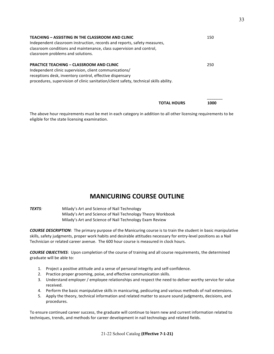| <b>TEACHING - ASSISTING IN THE CLASSROOM AND CLINIC</b><br>Independent classroom instruction, records and reports, safety measures,<br>classroom conditions and maintenance, class supervision and control,<br>classroom problems and solutions.               | 150 |
|----------------------------------------------------------------------------------------------------------------------------------------------------------------------------------------------------------------------------------------------------------------|-----|
| <b>PRACTICE TEACHING - CLASSROOM AND CLINIC</b><br>Independent clinic supervision, client communications/<br>receptions desk, inventory control, effective dispensary<br>procedures, supervision of clinic sanitation/client safety, technical skills ability. | 250 |

The above hour requirements must be met in each category in addition to all other licensing requirements to be eligible for the state licensing examination.

**TOTAL HOURS 1000** 

## **MANICURING COURSE OUTLINE**

**TEXTS**: Milady's Art and Science of Nail Technology Milady's Art and Science of Nail Technology Theory Workbook Milady's Art and Science of Nail Technology Exam Review

**COURSE DESCRIPTION**: The primary purpose of the Manicuring course is to train the student in basic manipulative skills, safety judgments, proper work habits and desirable attitudes necessary for entry-level positions as a Nail Technician or related career avenue. The 600 hour course is measured in clock hours.

**COURSE OBJECTIVES:** Upon completion of the course of training and all course requirements, the determined graduate will be able to:

- 1. Project a positive attitude and a sense of personal integrity and self-confidence.
- 2. Practice proper grooming, poise, and effective communication skills.
- 3. Understand employer / employee relationships and respect the need to deliver worthy service for value received.
- 4. Perform the basic manipulative skills in manicuring, pedicuring and various methods of nail extensions.
- 5. Apply the theory, technical information and related matter to assure sound judgments, decisions, and procedures.

To ensure continued career success, the graduate will continue to learn new and current information related to techniques, trends, and methods for career development in nail technology and related fields.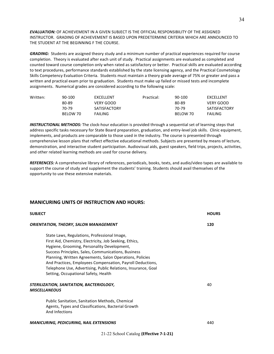**EVALUATION:** OF ACHIEVEMENT IN A GIVEN SUBJECT IS THE OFFICIAL RESPONSIBILITY OF THE ASSIGNED INSTRUCTOR. GRADING OF ACHIEVEMENT IS BASED UPON PREDETERMINE CRITERIA WHICH ARE ANNOUNCED TO THE STUDENT AT THE BEGINNING F THE COURSE.

GRADING: Students are assigned theory study and a minimum number of practical experiences required for course completion. Theory is evaluated after each unit of study. Practical assignments are evaluated as completed and counted toward course completion only when rated as satisfactory or better. Practical skills are evaluated according to text procedures, performance standards established by the state licensing agency, and the Practical Cosmetology Skills Competency Evaluation Criteria. Students must maintain a theory grade average of 75% or greater and pass a written and practical exam prior to graduation. Students must make up failed or missed tests and incomplete assignments. Numerical grades are considered according to the following scale:

| Written: | 90-100   | <b>FXCELLENT</b>    | Practical: | 90-100   | <b>FXCFLLFNT</b> |
|----------|----------|---------------------|------------|----------|------------------|
|          | 80-89    | VERY GOOD           |            | 80-89    | VERY GOOD        |
|          | 70-79    | <b>SATISFACTORY</b> |            | 70-79    | SATISFACTORY     |
|          | BELOW 70 | <b>FAILING</b>      |            | BELOW 70 | <b>FAILING</b>   |

*INSTRUCTIONAL METHODS:* The clock-hour education is provided through a sequential set of learning steps that address specific tasks necessary for State Board preparation, graduation, and entry-level job skills. Clinic equipment, implements, and products are comparable to those used in the industry. The course is presented through comprehensive lesson plans that reflect effective educational methods. Subjects are presented by means of lecture, demonstration, and interactive student participation. Audiovisual aids, guest speakers, field trips, projects, activities, and other related learning methods are used for course delivery.

*REFERENCES:* A comprehensive library of references, periodicals, books, texts, and audio/video tapes are available to support the course of study and supplement the students' training. Students should avail themselves of the opportunity to use these extensive materials.

#### **MANICURING UNITS OF INSTRUCTION AND HOURS:**

| <b>SUBJECT</b>                                                                                                                                                                                                                                                                                                                                                                                                                                   | <b>HOURS</b> |
|--------------------------------------------------------------------------------------------------------------------------------------------------------------------------------------------------------------------------------------------------------------------------------------------------------------------------------------------------------------------------------------------------------------------------------------------------|--------------|
| <b>ORIENTATION, THEORY, SALON MANAGEMENT</b>                                                                                                                                                                                                                                                                                                                                                                                                     | 120          |
| State Laws, Regulations, Professional Image,<br>First Aid, Chemistry, Electricity, Job Seeking, Ethics,<br>Hygiene, Grooming, Personality Development,<br>Success Principles, Sales, Communications, Business<br>Planning, Written Agreements, Salon Operations, Policies<br>And Practices, Employees Compensation, Payroll Deductions,<br>Telephone Use, Advertising, Public Relations, Insurance, Goal<br>Setting, Occupational Safety, Health |              |
| STERILIZATION, SANITATION, BACTERIOLOGY,<br><b>MISCELLANEOUS</b>                                                                                                                                                                                                                                                                                                                                                                                 | 40           |
| <b>Public Sanitation, Sanitation Methods, Chemical</b><br>Agents, Types and Classifications, Bacterial Growth<br>And Infections                                                                                                                                                                                                                                                                                                                  |              |

#### *MANICURING, PEDICURING, NAIL EXTENSIONS* 440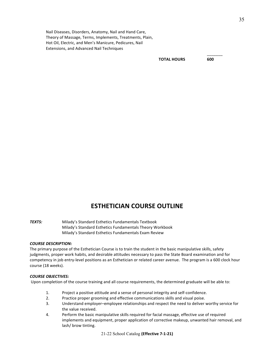Nail Diseases, Disorders, Anatomy, Nail and Hand Care, Theory of Massage, Terms, Implements, Treatments, Plain, Hot Oil, Electric, and Men's Manicure, Pedicures, Nail Extensions, and Advanced Nail Techniques

**TOTAL HOURS 600**

\_\_\_\_\_\_\_

## **ESTHETICIAN COURSE OUTLINE**

**TEXTS:** Milady's Standard Esthetics Fundamentals Textbook Milady's Standard Esthetics Fundamentals Theory Workbook Milady's Standard Esthetics Fundamentals Exam Review

#### *COURSE DESCRIPTION:*

The primary purpose of the Esthetician Course is to train the student in the basic manipulative skills, safety judgments, proper work habits, and desirable attitudes necessary to pass the State Board examination and for competency in job entry-level positions as an Esthetician or related career avenue. The program is a 600 clock hour course (18 weeks).

#### *COURSE OBJECTIVES:*

Upon completion of the course training and all course requirements, the determined graduate will be able to:

- 1. Project a positive attitude and a sense of personal integrity and self-confidence.
- 2. Practice proper grooming and effective communications skills and visual poise.
- 3. Understand employer–employee relationships and respect the need to deliver worthy service for the value received.
- 4. Perform the basic manipulative skills required for facial massage, effective use of required implements and equipment, proper application of corrective makeup, unwanted hair removal, and lash/ brow tinting.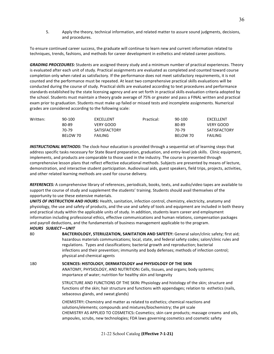5. Apply the theory, technical information, and related matter to assure sound judgments, decisions, and procedures.

To ensure continued career success, the graduate will continue to learn new and current information related to techniques, trends, fashions, and methods for career development in esthetics and related career positions.

**GRADING PROCEDURES:** Students are assigned theory study and a minimum number of practical experiences. Theory is evaluated after each unit of study. Practical assignments are evaluated as completed and counted toward course completion only when rated as satisfactory. If the performance does not meet satisfactory requirements, it is not counted and the performance must be repeated. At least two comprehensive practical skills evaluations will be conducted during the course of study. Practical skills are evaluated according to text procedures and performance standards established by the state licensing agency and are set forth in practical skills evaluation criteria adopted by the school. Students must maintain a theory grade average of 75% or greater and pass a FINAL written and practical exam prior to graduation. Students must make up failed or missed tests and incomplete assignments. Numerical grades are considered according to the following scale:

| 90-100   | <b>FXCELLENT</b>    | Practical: |       | <b>FXCELLENT</b>   |
|----------|---------------------|------------|-------|--------------------|
| 80-89    | VERY GOOD           |            | 80-89 | VERY GOOD          |
| 70-79    | <b>SATISFACTORY</b> |            | 70-79 | SATISFACTORY       |
| BELOW 70 | <b>FAILING</b>      |            |       | <b>FAILING</b>     |
|          |                     |            |       | 90-100<br>BELOW 70 |

**INSTRUCTIONAL METHODS:** The clock-hour education is provided through a sequential set of learning steps that address specific tasks necessary for State Board preparation, graduation, and entry-level job skills. Clinic equipment, implements, and products are comparable to those used in the industry. The course is presented through comprehensive lesson plans that reflect effective educational methods. Subjects are presented by means of lecture, demonstration, and interactive student participation. Audiovisual aids, guest speakers, field trips, projects, activities, and other related learning methods are used for course delivery.

*REFERENCES:* A comprehensive library of references, periodicals, books, texts, and audio/video tapes are available to support the course of study and supplement the students' training. Students should avail themselves of the opportunity to use these extensive materials.

UNITS OF INSTRUCTION AND HOURS: Health, sanitation, infection control, chemistry, electricity, anatomy and physiology, the use and safety of products, and the use and safety of tools and equipment are included in both theory and practical study within the applicable units of study. In addition, students learn career and employment information including professional ethics, effective communications and human relations, compensation packages and payroll deductions, and the fundamentals of business management applicable to the program. *HOURS SUBJECT—UNIT*

80 **BACTERIOLOGY, STERILIZATION, SANITATION AND SAFETEY:** General salon/clinic safety; first aid; hazardous materials communications; local, state, and federal safety codes; salon/clinic rules and regulations. Types and classifications; bacterial growth and reproduction; bacterial infections and their prevention; immunity and body defenses; methods of infection control; physical and chemical agents 180 **SCIENCES: HISTOLOGY, DERMATOLOGY and PHYSIOLOGY OF THE SKIN** ANATOMY, PHYSIOLOGY, AND NUTRITION: Cells, tissues, and organs; body systems; importance of water; nutrition for healthy skin and longevity STRUCTURE AND FUNCTIONS OF THE SKIN: Physiology and histology of the skin; structure and functions of the skin; hair structure and functions with appendages; relation to esthetics (nails, sebaceous glands, and sweat glands) CHEMISTRY: Chemistry and matter as related to esthetics; chemical reactions and solutions/elements; compounds and mixtures/biochemistry; the pH scale CHEMISTRY AS APPLIED TO COSMETICS: Cosmetics; skin care products; massage creams and oils, ampoules, scrubs, new technologies; FDA laws governing cosmetics and cosmetic safety